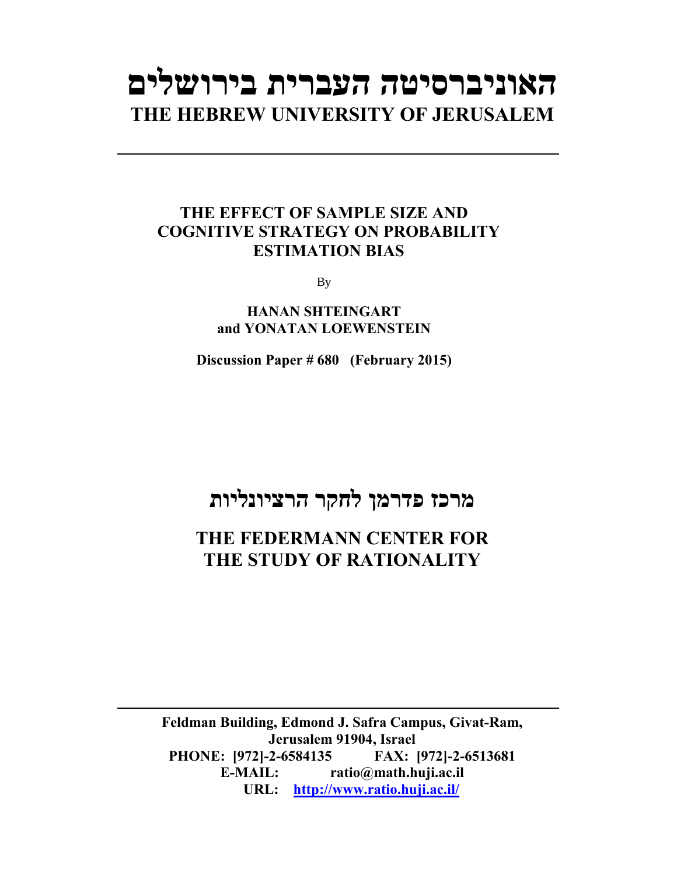# **האוניברסיטה העברית בירושלים THE HEBREW UNIVERSITY OF JERUSALEM**

### **THE EFFECT OF SAMPLE SIZE AND COGNITIVE STRATEGY ON PROBABILITY ESTIMATION BIAS**

By

**HANAN SHTEINGART and YONATAN LOEWENSTEIN** 

**Discussion Paper # 680 (February 2015)**

## **מרכז פדרמן לחקר הרציונליות**

## **THE FEDERMANN CENTER FOR THE STUDY OF RATIONALITY**

**Feldman Building, Edmond J. Safra Campus, Givat-Ram, Jerusalem 91904, Israel PHONE: [972]-2-6584135 FAX: [972]-2-6513681 E-MAIL: ratio@math.huji.ac.il URL: http://www.ratio.huji.ac.il/**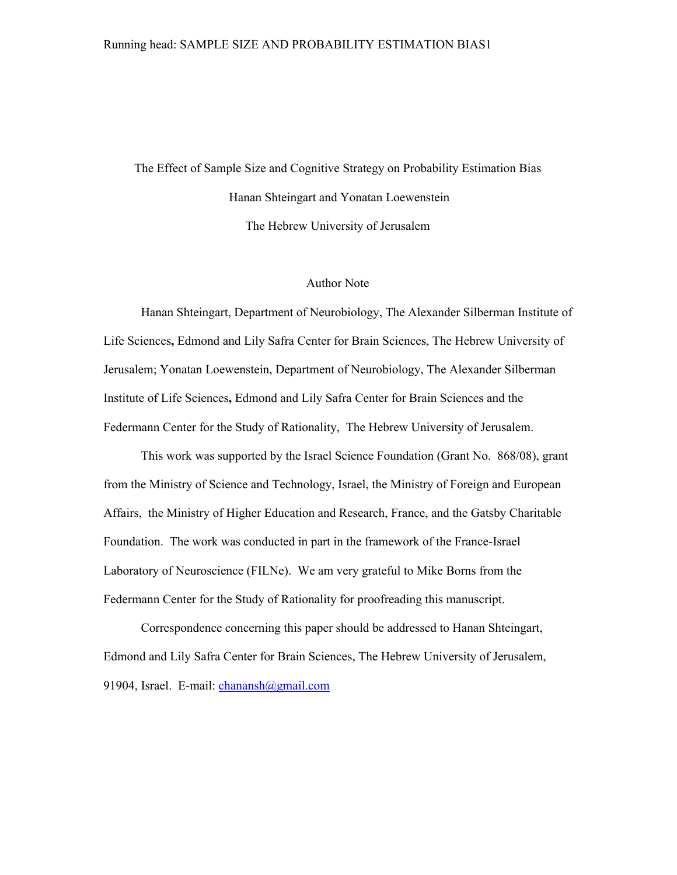#### Running head: SAMPLE SIZE AND PROBABILITY ESTIMATION BIAS1

The Effect of Sample Size and Cognitive Strategy on Probability Estimation Bias Hanan Shteingart and Yonatan Loewenstein The Hebrew University of Jerusalem

#### Author Note

Hanan Shteingart, Department of Neurobiology, The Alexander Silberman Institute of Life Sciences**,** Edmond and Lily Safra Center for Brain Sciences, The Hebrew University of Jerusalem; Yonatan Loewenstein, Department of Neurobiology, The Alexander Silberman Institute of Life Sciences**,** Edmond and Lily Safra Center for Brain Sciences and the Federmann Center for the Study of Rationality, The Hebrew University of Jerusalem.

This work was supported by the Israel Science Foundation (Grant No. 868/08), grant from the Ministry of Science and Technology, Israel, the Ministry of Foreign and European Affairs, the Ministry of Higher Education and Research, France, and the Gatsby Charitable Foundation. The work was conducted in part in the framework of the France-Israel Laboratory of Neuroscience (FILNe). We am very grateful to Mike Borns from the Federmann Center for the Study of Rationality for proofreading this manuscript.

Correspondence concerning this paper should be addressed to Hanan Shteingart, Edmond and Lily Safra Center for Brain Sciences, The Hebrew University of Jerusalem, 91904, Israel. E-mail: chanansh@gmail.com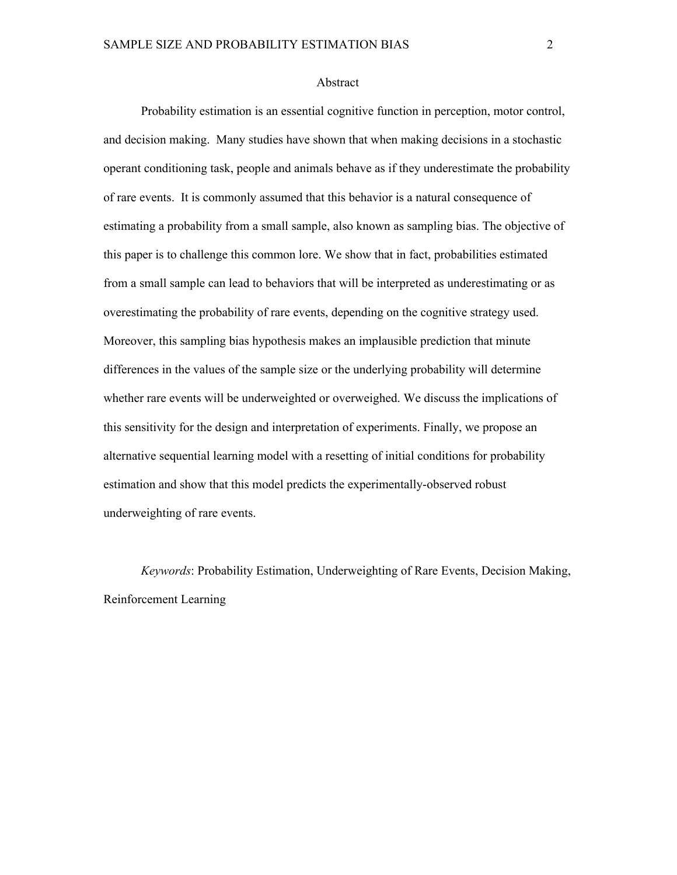#### Abstract

Probability estimation is an essential cognitive function in perception, motor control, and decision making. Many studies have shown that when making decisions in a stochastic operant conditioning task, people and animals behave as if they underestimate the probability of rare events. It is commonly assumed that this behavior is a natural consequence of estimating a probability from a small sample, also known as sampling bias. The objective of this paper is to challenge this common lore. We show that in fact, probabilities estimated from a small sample can lead to behaviors that will be interpreted as underestimating or as overestimating the probability of rare events, depending on the cognitive strategy used. Moreover, this sampling bias hypothesis makes an implausible prediction that minute differences in the values of the sample size or the underlying probability will determine whether rare events will be underweighted or overweighed. We discuss the implications of this sensitivity for the design and interpretation of experiments. Finally, we propose an alternative sequential learning model with a resetting of initial conditions for probability estimation and show that this model predicts the experimentally-observed robust underweighting of rare events.

*Keywords*: Probability Estimation, Underweighting of Rare Events, Decision Making, Reinforcement Learning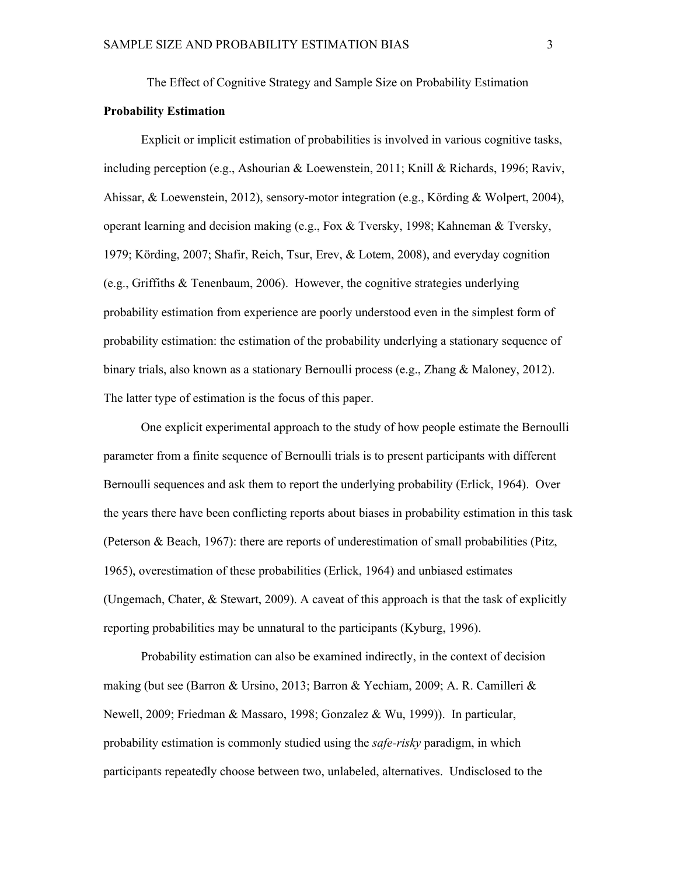The Effect of Cognitive Strategy and Sample Size on Probability Estimation

#### **Probability Estimation**

Explicit or implicit estimation of probabilities is involved in various cognitive tasks, including perception (e.g., Ashourian & Loewenstein, 2011; Knill & Richards, 1996; Raviv, Ahissar, & Loewenstein, 2012), sensory-motor integration (e.g., Körding & Wolpert, 2004), operant learning and decision making (e.g., Fox & Tversky, 1998; Kahneman & Tversky, 1979; Körding, 2007; Shafir, Reich, Tsur, Erev, & Lotem, 2008), and everyday cognition (e.g., Griffiths & Tenenbaum, 2006). However, the cognitive strategies underlying probability estimation from experience are poorly understood even in the simplest form of probability estimation: the estimation of the probability underlying a stationary sequence of binary trials, also known as a stationary Bernoulli process (e.g., Zhang & Maloney, 2012). The latter type of estimation is the focus of this paper.

One explicit experimental approach to the study of how people estimate the Bernoulli parameter from a finite sequence of Bernoulli trials is to present participants with different Bernoulli sequences and ask them to report the underlying probability (Erlick, 1964). Over the years there have been conflicting reports about biases in probability estimation in this task (Peterson & Beach, 1967): there are reports of underestimation of small probabilities (Pitz, 1965), overestimation of these probabilities (Erlick, 1964) and unbiased estimates (Ungemach, Chater, & Stewart, 2009). A caveat of this approach is that the task of explicitly reporting probabilities may be unnatural to the participants (Kyburg, 1996).

Probability estimation can also be examined indirectly, in the context of decision making (but see (Barron & Ursino, 2013; Barron & Yechiam, 2009; A. R. Camilleri & Newell, 2009; Friedman & Massaro, 1998; Gonzalez & Wu, 1999)). In particular, probability estimation is commonly studied using the *saferisky* paradigm, in which participants repeatedly choose between two, unlabeled, alternatives. Undisclosed to the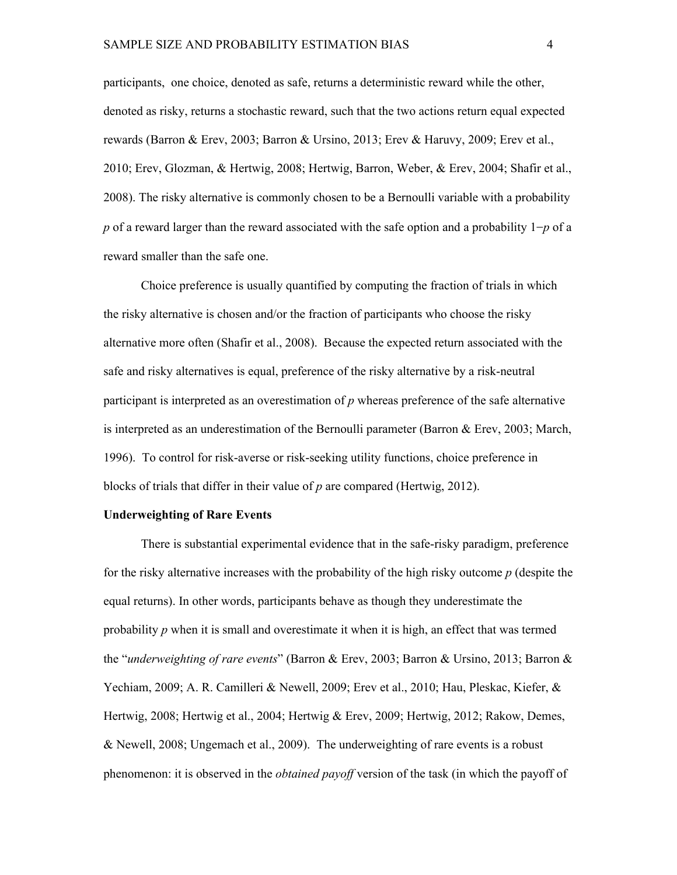participants, one choice, denoted as safe, returns a deterministic reward while the other, denoted as risky, returns a stochastic reward, such that the two actions return equal expected rewards (Barron & Erev, 2003; Barron & Ursino, 2013; Erev & Haruvy, 2009; Erev et al., 2010; Erev, Glozman, & Hertwig, 2008; Hertwig, Barron, Weber, & Erev, 2004; Shafir et al., 2008). The risky alternative is commonly chosen to be a Bernoulli variable with a probability p of a reward larger than the reward associated with the safe option and a probability  $1-p$  of a reward smaller than the safe one.

Choice preference is usually quantified by computing the fraction of trials in which the risky alternative is chosen and/or the fraction of participants who choose the risky alternative more often (Shafir et al., 2008). Because the expected return associated with the safe and risky alternatives is equal, preference of the risky alternative by a risk-neutral participant is interpreted as an overestimation of *p* whereas preference of the safe alternative is interpreted as an underestimation of the Bernoulli parameter (Barron & Erev, 2003; March, 1996). To control for risk-averse or risk-seeking utility functions, choice preference in blocks of trials that differ in their value of *p* are compared (Hertwig, 2012).

#### **Underweighting of Rare Events**

There is substantial experimental evidence that in the safe-risky paradigm, preference for the risky alternative increases with the probability of the high risky outcome *p* (despite the equal returns). In other words, participants behave as though they underestimate the probability *p* when it is small and overestimate it when it is high, an effect that was termed the "*underweighting of rare events*" (Barron & Erev, 2003; Barron & Ursino, 2013; Barron & Yechiam, 2009; A. R. Camilleri & Newell, 2009; Erev et al., 2010; Hau, Pleskac, Kiefer, & Hertwig, 2008; Hertwig et al., 2004; Hertwig & Erev, 2009; Hertwig, 2012; Rakow, Demes, & Newell, 2008; Ungemach et al., 2009). The underweighting of rare events is a robust phenomenon: it is observed in the *obtained payoff* version of the task (in which the payoff of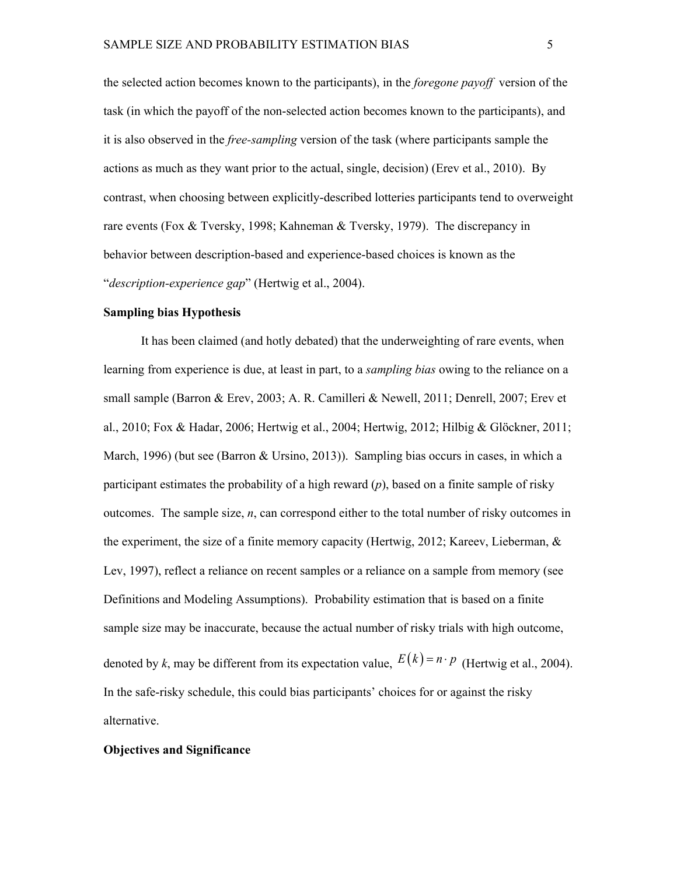the selected action becomes known to the participants), in the *foregone payoff* version of the task (in which the payoff of the nonselected action becomes known to the participants), and it is also observed in the *freesampling* version of the task (where participants sample the actions as much as they want prior to the actual, single, decision) (Erev et al., 2010). By contrast, when choosing between explicitly-described lotteries participants tend to overweight rare events (Fox & Tversky, 1998; Kahneman & Tversky, 1979). The discrepancy in behavior between description-based and experience-based choices is known as the "*description-experience gap*" (Hertwig et al., 2004).

#### **Sampling bias Hypothesis**

It has been claimed (and hotly debated) that the underweighting of rare events, when learning from experience is due, at least in part, to a *sampling bias* owing to the reliance on a small sample (Barron & Erev, 2003; A. R. Camilleri & Newell, 2011; Denrell, 2007; Erev et al., 2010; Fox & Hadar, 2006; Hertwig et al., 2004; Hertwig, 2012; Hilbig & Glöckner, 2011; March, 1996) (but see (Barron & Ursino, 2013)). Sampling bias occurs in cases, in which a participant estimates the probability of a high reward (*p*), based on a finite sample of risky outcomes. The sample size, *n*, can correspond either to the total number of risky outcomes in the experiment, the size of a finite memory capacity (Hertwig, 2012; Kareev, Lieberman, & Lev, 1997), reflect a reliance on recent samples or a reliance on a sample from memory (see Definitions and Modeling Assumptions). Probability estimation that is based on a finite sample size may be inaccurate, because the actual number of risky trials with high outcome, denoted by k, may be different from its expectation value,  $E(k) = n \cdot p$  (Hertwig et al., 2004). In the safe-risky schedule, this could bias participants' choices for or against the risky alternative.

#### **Objectives and Significance**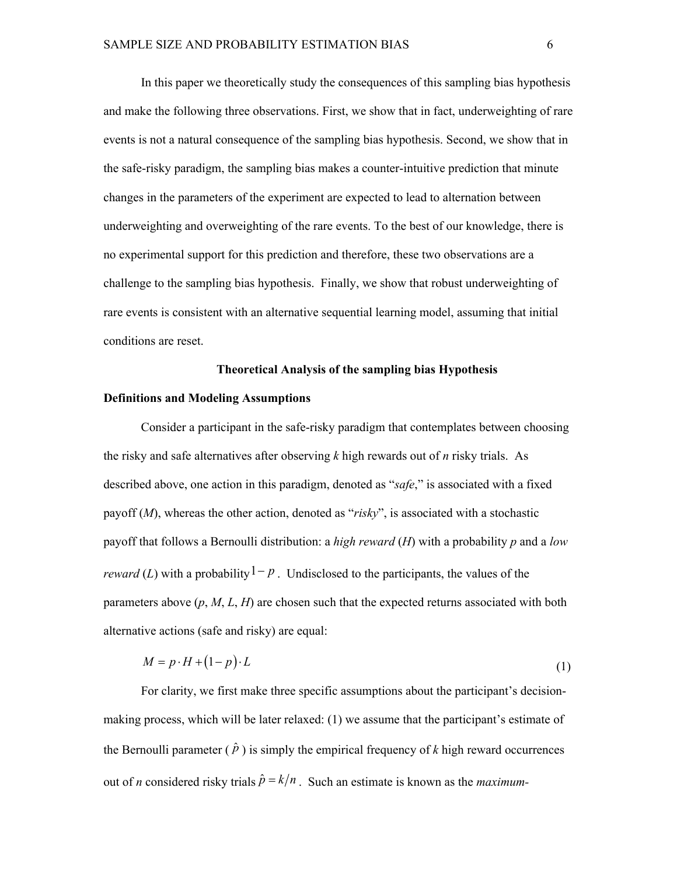In this paper we theoretically study the consequences of this sampling bias hypothesis and make the following three observations. First, we show that in fact, underweighting of rare events is not a natural consequence of the sampling bias hypothesis. Second, we show that in the safe-risky paradigm, the sampling bias makes a counter-intuitive prediction that minute changes in the parameters of the experiment are expected to lead to alternation between underweighting and overweighting of the rare events. To the best of our knowledge, there is no experimental support for this prediction and therefore, these two observations are a challenge to the sampling bias hypothesis. Finally, we show that robust underweighting of rare events is consistent with an alternative sequential learning model, assuming that initial conditions are reset.

#### **Theoretical Analysis of the sampling bias Hypothesis**

#### **Definitions and Modeling Assumptions**

Consider a participant in the safe-risky paradigm that contemplates between choosing the risky and safe alternatives after observing *k* high rewards out of *n* risky trials. As described above, one action in this paradigm, denoted as "*safe*," is associated with a fixed payoff (*M*), whereas the other action, denoted as "*risky*", is associated with a stochastic payoff that follows a Bernoulli distribution: a *high reward* (*H*) with a probability *p* and a *low reward* (*L*) with a probability  $1-p$ . Undisclosed to the participants, the values of the parameters above (*p*, *M*, *L*, *H*) are chosen such that the expected returns associated with both alternative actions (safe and risky) are equal:

$$
M = p \cdot H + (1 - p) \cdot L \tag{1}
$$

For clarity, we first make three specific assumptions about the participant's decisionmaking process, which will be later relaxed: (1) we assume that the participant's estimate of the Bernoulli parameter  $(\hat{p})$  is simply the empirical frequency of k high reward occurrences out of *n* considered risky trials  $\hat{p} = k/n$ . Such an estimate is known as the *maximum*-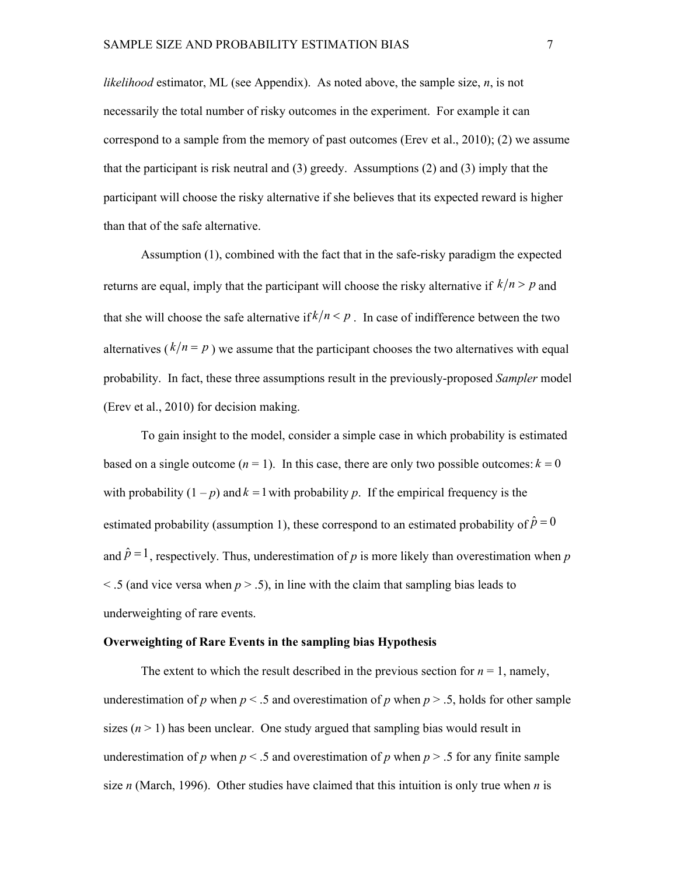*likelihood* estimator, ML (see Appendix). As noted above, the sample size, *n*, is not necessarily the total number of risky outcomes in the experiment. For example it can correspond to a sample from the memory of past outcomes (Erev et al., 2010); (2) we assume that the participant is risk neutral and (3) greedy. Assumptions (2) and (3) imply that the participant will choose the risky alternative if she believes that its expected reward is higher than that of the safe alternative.

Assumption (1), combined with the fact that in the safe-risky paradigm the expected returns are equal, imply that the participant will choose the risky alternative if  $k/n > p$  and that she will choose the safe alternative if  $k/n \leq p$ . In case of indifference between the two alternatives ( $k/n = p$ ) we assume that the participant chooses the two alternatives with equal probability. In fact, these three assumptions result in the previouslyproposed *Sampler* model (Erev et al., 2010) for decision making.

To gain insight to the model, consider a simple case in which probability is estimated based on a single outcome  $(n = 1)$ . In this case, there are only two possible outcomes:  $k = 0$ with probability  $(1-p)$  and  $k = 1$  with probability p. If the empirical frequency is the estimated probability (assumption 1), these correspond to an estimated probability of  $\hat{p} = 0$ and  $\hat{p} = 1$ , respectively. Thus, underestimation of *p* is more likely than overestimation when *p*  $\leq$  5 (and vice versa when  $p > 0.5$ ), in line with the claim that sampling bias leads to underweighting of rare events.

#### **Overweighting of Rare Events in the sampling bias Hypothesis**

The extent to which the result described in the previous section for  $n = 1$ , namely, underestimation of *p* when  $p < 0.5$  and overestimation of *p* when  $p > 0.5$ , holds for other sample sizes  $(n > 1)$  has been unclear. One study argued that sampling bias would result in underestimation of *p* when  $p < 0.5$  and overestimation of *p* when  $p > 0.5$  for any finite sample size *n* (March, 1996). Other studies have claimed that this intuition is only true when *n* is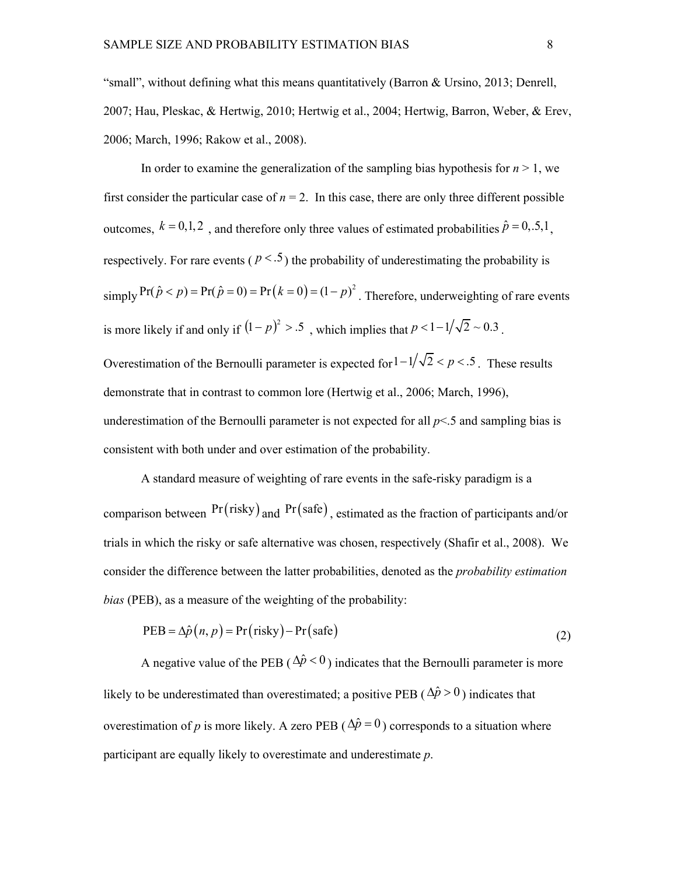"small", without defining what this means quantitatively (Barron & Ursino, 2013; Denrell, 2007; Hau, Pleskac, & Hertwig, 2010; Hertwig et al., 2004; Hertwig, Barron, Weber, & Erev, 2006; March, 1996; Rakow et al., 2008).

In order to examine the generalization of the sampling bias hypothesis for  $n \geq 1$ , we first consider the particular case of  $n = 2$ . In this case, there are only three different possible outcomes,  $k = 0,1,2$ , and therefore only three values of estimated probabilities  $\hat{p} = 0,5,1$ , respectively. For rare events ( $p < 5$ ) the probability of underestimating the probability is  $\sum_{n=1}^{\infty} \Pr(\hat{p} < p) = \Pr(\hat{p} = 0) = \Pr(k = 0) = (1 - p)^2$ . Therefore, underweighting of rare events is more likely if and only if  $(1-p)^2 > .5$ , which implies that  $p < 1-1/\sqrt{2} \sim 0.3$ . Overestimation of the Bernoulli parameter is expected for  $1 - 1/\sqrt{2} < p < .5$ . These results demonstrate that in contrast to common lore (Hertwig et al., 2006; March, 1996), underestimation of the Bernoulli parameter is not expected for all  $p<.5$  and sampling bias is consistent with both under and over estimation of the probability.

A standard measure of weighting of rare events in the safe-risky paradigm is a comparison between  $Pr(risky)$  and  $Pr(safe)$ , estimated as the fraction of participants and/or trials in which the risky or safe alternative was chosen, respectively (Shafir et al., 2008). We consider the difference between the latter probabilities, denoted as the *probability estimation bias* (PEB), as a measure of the weighting of the probability:

$$
PEB = \Delta \hat{p}(n, p) = Pr(risky) - Pr(safe)
$$
\n(2)

A negative value of the PEB ( $\Delta \hat{p}$  < 0) indicates that the Bernoulli parameter is more likely to be underestimated than overestimated; a positive PEB ( $\Delta \hat{p} > 0$ ) indicates that overestimation of *p* is more likely. A zero PEB ( $\Delta \hat{p} = 0$ ) corresponds to a situation where participant are equally likely to overestimate and underestimate *p*.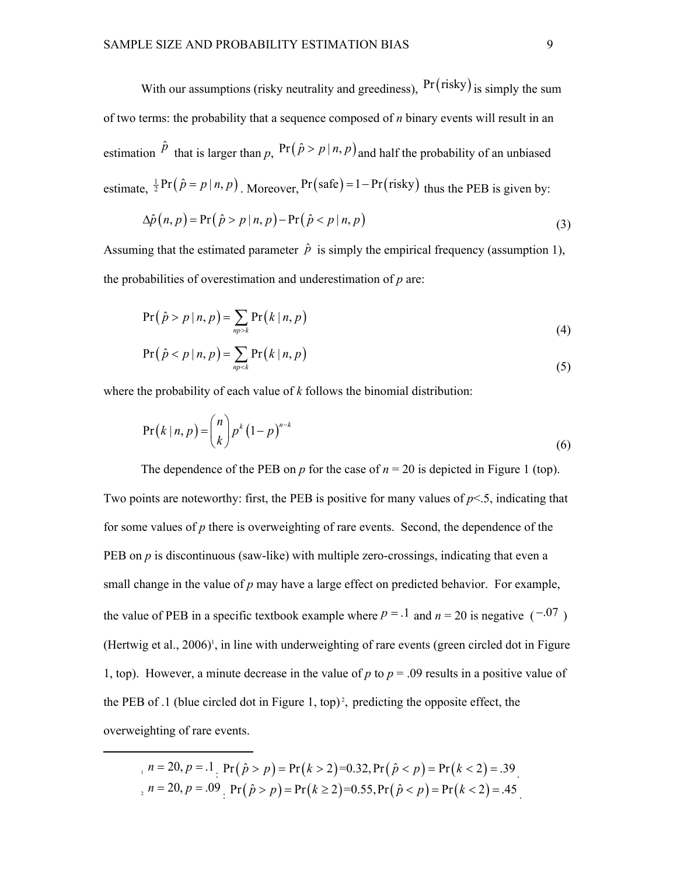With our assumptions (risky neutrality and greediness),  $Pr(risky)$  is simply the sum of two terms: the probability that a sequence composed of *n* binary events will result in an estimation  $\hat{p}$  that is larger than p,  $Pr(\hat{p} > p | n, p)$  and half the probability of an unbiased estimate,  $\frac{1}{2}$  Pr( $\hat{p} = p | n, p$ ), Moreover, Pr(safe) = 1 – Pr(risky) thus the PEB is given by:

$$
\Delta \hat{p}(n, p) = \Pr(\hat{p} > p \mid n, p) - \Pr(\hat{p} < p \mid n, p) \tag{3}
$$

Assuming that the estimated parameter  $\hat{p}$  is simply the empirical frequency (assumption 1), the probabilities of overestimation and underestimation of *p* are:

$$
Pr(\hat{p} > p | n, p) = \sum_{n \text{p} > k} Pr(k | n, p)
$$
\n(4)

$$
Pr(\hat{p} < p \mid n, p) = \sum_{np < k} Pr(k \mid n, p) \tag{5}
$$

where the probability of each value of *k* follows the binomial distribution:

$$
Pr(k|n, p) = {n \choose k} p^{k} (1-p)^{n-k}
$$
\n(6)

The dependence of the PEB on  $p$  for the case of  $n = 20$  is depicted in Figure 1 (top). Two points are noteworthy: first, the PEB is positive for many values of  $p<.5$ , indicating that for some values of *p* there is overweighting of rare events. Second, the dependence of the PEB on *p* is discontinuous (saw-like) with multiple zero-crossings, indicating that even a small change in the value of *p* may have a large effect on predicted behavior. For example, the value of PEB in a specific textbook example where  $p = 0.1$  and  $n = 20$  is negative  $(-0.07)$ (Hertwig et al.,  $2006$ )<sup>1</sup>, in line with underweighting of rare events (green circled dot in Figure 1, top). However, a minute decrease in the value of  $p$  to  $p = 0.09$  results in a positive value of the PEB of .1 (blue circled dot in Figure 1, top)<sup>2</sup>, predicting the opposite effect, the overweighting of rare events.

 $n = 20, p = .1$  Pr  $(\hat{p} > p) = Pr(k > 2) = 0.32$ , Pr  $(\hat{p} < p) = Pr(k < 2) = .39$  $n = 20, p = .09$   $Pr(\hat{p} > p) = Pr(k \ge 2) = 0.55, Pr(\hat{p} < p) = Pr(k < 2) = .45$ .

.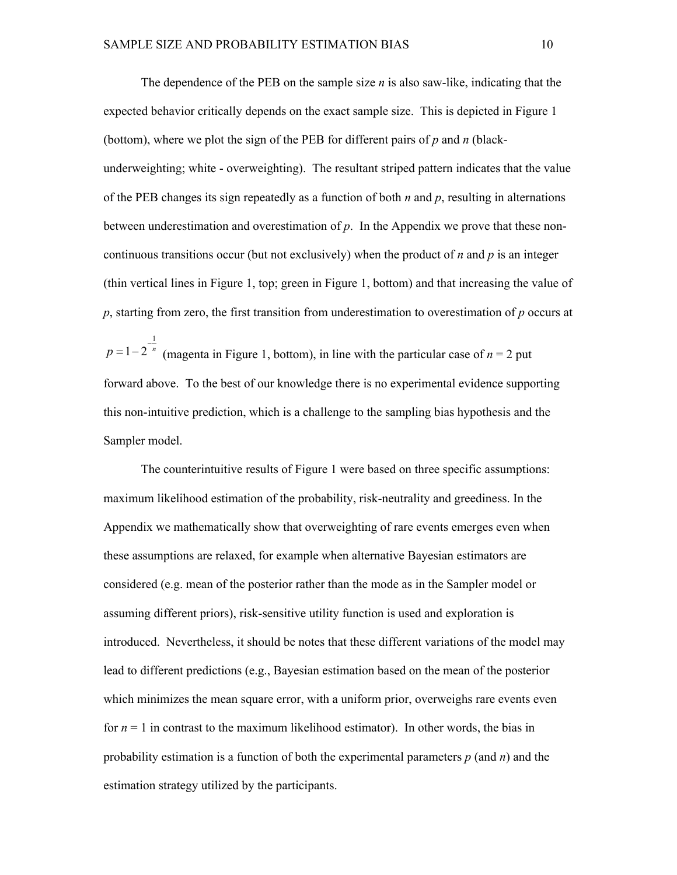The dependence of the PEB on the sample size  $n$  is also saw-like, indicating that the expected behavior critically depends on the exact sample size. This is depicted in Figure 1 (bottom), where we plot the sign of the PEB for different pairs of *p* and *n* (black underweighting; white - overweighting). The resultant striped pattern indicates that the value of the PEB changes its sign repeatedly as a function of both *n* and *p*, resulting in alternations between underestimation and overestimation of *p*. In the Appendix we prove that these noncontinuous transitions occur (but not exclusively) when the product of *n* and *p* is an integer (thin vertical lines in Figure 1, top; green in Figure 1, bottom) and that increasing the value of *p*, starting from zero, the first transition from underestimation to overestimation of *p* occurs at

1  $p=1-2^{-\frac{1}{n}}$  (magenta in Figure 1, bottom), in line with the particular case of  $n=2$  put forward above. To the best of our knowledge there is no experimental evidence supporting this nonintuitive prediction, which is a challenge to the sampling bias hypothesis and the Sampler model.

The counterintuitive results of Figure 1 were based on three specific assumptions: maximum likelihood estimation of the probability, risk-neutrality and greediness. In the Appendix we mathematically show that overweighting of rare events emerges even when these assumptions are relaxed, for example when alternative Bayesian estimators are considered (e.g. mean of the posterior rather than the mode as in the Sampler model or assuming different priors), risk-sensitive utility function is used and exploration is introduced. Nevertheless, it should be notes that these different variations of the model may lead to different predictions (e.g., Bayesian estimation based on the mean of the posterior which minimizes the mean square error, with a uniform prior, overweighs rare events even for  $n = 1$  in contrast to the maximum likelihood estimator). In other words, the bias in probability estimation is a function of both the experimental parameters *p* (and *n*) and the estimation strategy utilized by the participants.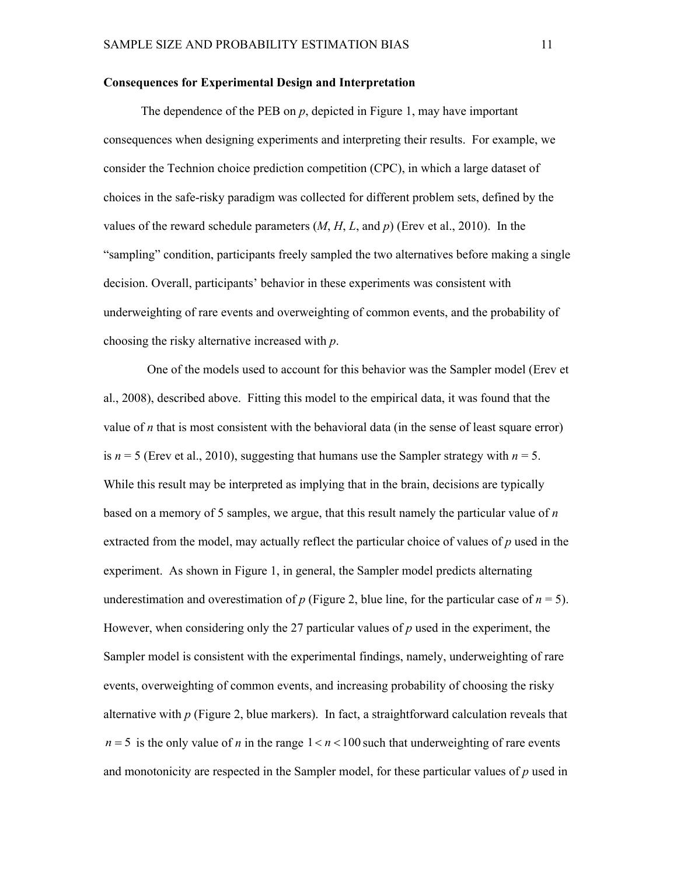#### **Consequences for Experimental Design and Interpretation**

The dependence of the PEB on *p*, depicted in Figure 1, may have important consequences when designing experiments and interpreting their results. For example, we consider the Technion choice prediction competition (CPC), in which a large dataset of choices in the saferisky paradigm was collected for different problem sets, defined by the values of the reward schedule parameters  $(M, H, L, \text{and } p)$  (Erev et al., 2010). In the "sampling" condition, participants freely sampled the two alternatives before making a single decision. Overall, participants' behavior in these experiments was consistent with underweighting of rare events and overweighting of common events, and the probability of choosing the risky alternative increased with *p*.

 One of the models used to account for this behavior was the Sampler model (Erev et al., 2008), described above. Fitting this model to the empirical data, it was found that the value of  $n$  that is most consistent with the behavioral data (in the sense of least square error) is  $n = 5$  (Erev et al., 2010), suggesting that humans use the Sampler strategy with  $n = 5$ . While this result may be interpreted as implying that in the brain, decisions are typically based on a memory of 5 samples, we argue, that this result namely the particular value of *n* extracted from the model, may actually reflect the particular choice of values of *p* used in the experiment. As shown in Figure 1, in general, the Sampler model predicts alternating underestimation and overestimation of  $p$  (Figure 2, blue line, for the particular case of  $n = 5$ ). However, when considering only the 27 particular values of *p* used in the experiment, the Sampler model is consistent with the experimental findings, namely, underweighting of rare events, overweighting of common events, and increasing probability of choosing the risky alternative with *p* (Figure 2, blue markers). In fact, a straightforward calculation reveals that  $n = 5$  is the only value of *n* in the range  $1 < n < 100$  such that underweighting of rare events and monotonicity are respected in the Sampler model, for these particular values of *p* used in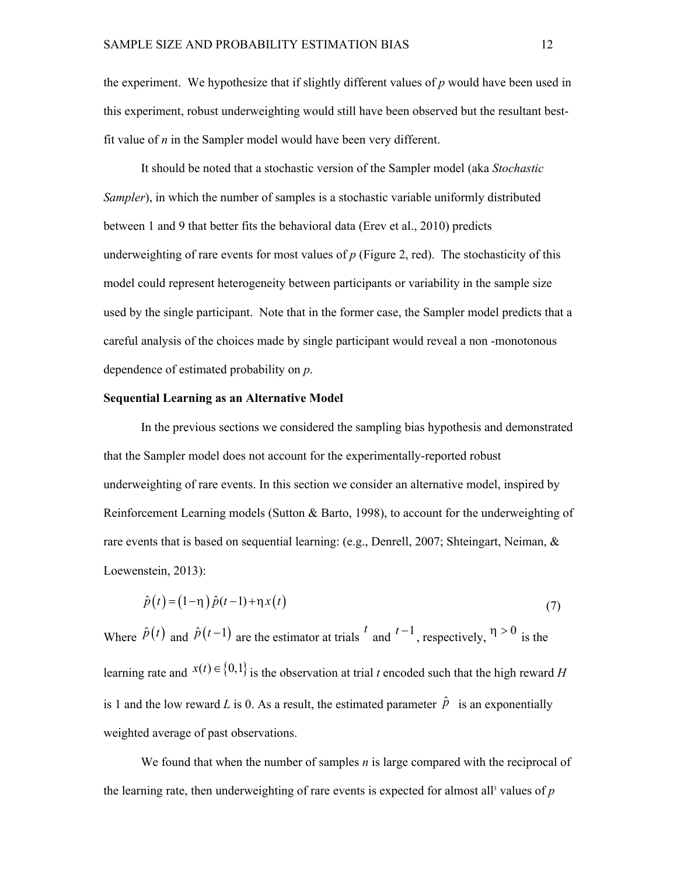the experiment. We hypothesize that if slightly different values of *p* would have been used in this experiment, robust underweighting would still have been observed but the resultant bestfit value of *n* in the Sampler model would have been very different.

It should be noted that a stochastic version of the Sampler model (aka *Stochastic Sampler*), in which the number of samples is a stochastic variable uniformly distributed between 1 and 9 that better fits the behavioral data (Erev et al., 2010) predicts underweighting of rare events for most values of  $p$  (Figure 2, red). The stochasticity of this model could represent heterogeneity between participants or variability in the sample size used by the single participant. Note that in the former case, the Sampler model predicts that a careful analysis of the choices made by single participant would reveal a non monotonous dependence of estimated probability on *p*.

#### **Sequential Learning as an Alternative Model**

In the previous sections we considered the sampling bias hypothesis and demonstrated that the Sampler model does not account for the experimentally-reported robust underweighting of rare events. In this section we consider an alternative model, inspired by Reinforcement Learning models (Sutton & Barto, 1998), to account for the underweighting of rare events that is based on sequential learning: (e.g., Denrell, 2007; Shteingart, Neiman, & Loewenstein, 2013):

$$
\hat{p}(t) = (1 - \eta)\hat{p}(t - 1) + \eta x(t) \tag{7}
$$

Where  $\hat{p}(t)$  and  $\hat{p}(t-1)$  are the estimator at trials  $t$  and  $t-1$ , respectively,  $\eta > 0$  is the learning rate and  $x(t) \in \{0,1\}$  is the observation at trial *t* encoded such that the high reward *H* is 1 and the low reward *L* is 0. As a result, the estimated parameter  $\hat{p}$  is an exponentially weighted average of past observations.

We found that when the number of samples *n* is large compared with the reciprocal of the learning rate, then underweighting of rare events is expected for almost all<sup>3</sup> values of  $p$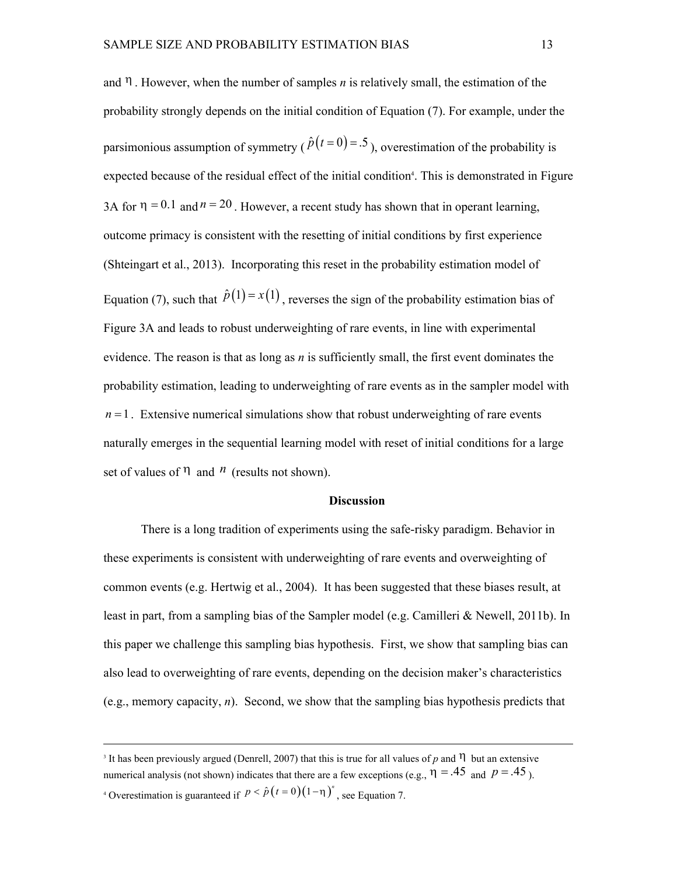and  $\eta$ . However, when the number of samples *n* is relatively small, the estimation of the probability strongly depends on the initial condition of Equation (7). For example, under the parsimonious assumption of symmetry ( $\hat{p}(t=0) = .5$ ), overestimation of the probability is expected because of the residual effect of the initial condition<sup>4</sup>. This is demonstrated in Figure 3A for  $\eta = 0.1$  and  $n = 20$ . However, a recent study has shown that in operant learning, outcome primacy is consistent with the resetting of initial conditions by first experience (Shteingart et al., 2013). Incorporating this reset in the probability estimation model of Equation (7), such that  $\hat{p}(1) = x(1)$ , reverses the sign of the probability estimation bias of Figure 3A and leads to robust underweighting of rare events, in line with experimental evidence. The reason is that as long as *n* is sufficiently small, the first event dominates the probability estimation, leading to underweighting of rare events as in the sampler model with  $n = 1$ . Extensive numerical simulations show that robust underweighting of rare events naturally emerges in the sequential learning model with reset of initial conditions for a large set of values of  $\eta$  and  $\eta$  (results not shown).

#### **Discussion**

There is a long tradition of experiments using the saferisky paradigm. Behavior in these experiments is consistent with underweighting of rare events and overweighting of common events (e.g. Hertwig et al., 2004). It has been suggested that these biases result, at least in part, from a sampling bias of the Sampler model (e.g. Camilleri & Newell, 2011b). In this paper we challenge this sampling bias hypothesis. First, we show that sampling bias can also lead to overweighting of rare events, depending on the decision maker's characteristics (e.g., memory capacity, *n*). Second, we show that the sampling bias hypothesis predicts that

<sup>4</sup> Overestimation is guaranteed if  $p < \hat{p}(t=0)(1-\eta)^n$ , see Equation 7.

<sup>&</sup>lt;sup>3</sup> It has been previously argued (Denrell, 2007) that this is true for all values of p and  $\eta$  but an extensive numerical analysis (not shown) indicates that there are a few exceptions (e.g.,  $\eta = .45$  and  $p = .45$ ).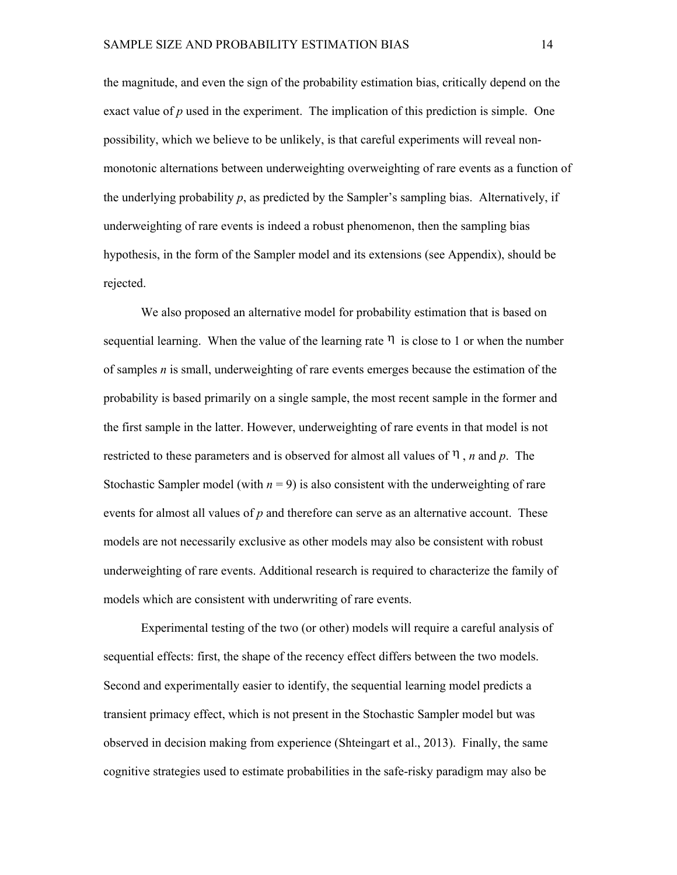the magnitude, and even the sign of the probability estimation bias, critically depend on the exact value of *p* used in the experiment. The implication of this prediction is simple. One possibility, which we believe to be unlikely, is that careful experiments will reveal nonmonotonic alternations between underweighting overweighting of rare events as a function of the underlying probability *p*, as predicted by the Sampler's sampling bias. Alternatively, if underweighting of rare events is indeed a robust phenomenon, then the sampling bias hypothesis, in the form of the Sampler model and its extensions (see Appendix), should be rejected.

We also proposed an alternative model for probability estimation that is based on sequential learning. When the value of the learning rate  $\eta$  is close to 1 or when the number of samples *n* is small, underweighting of rare events emerges because the estimation of the probability is based primarily on a single sample, the most recent sample in the former and the first sample in the latter. However, underweighting of rare events in that model is not restricted to these parameters and is observed for almost all values of  $\eta$ , *n* and *p*. The Stochastic Sampler model (with  $n = 9$ ) is also consistent with the underweighting of rare events for almost all values of *p* and therefore can serve as an alternative account. These models are not necessarily exclusive as other models may also be consistent with robust underweighting of rare events. Additional research is required to characterize the family of models which are consistent with underwriting of rare events.

Experimental testing of the two (or other) models will require a careful analysis of sequential effects: first, the shape of the recency effect differs between the two models. Second and experimentally easier to identify, the sequential learning model predicts a transient primacy effect, which is not present in the Stochastic Sampler model but was observed in decision making from experience (Shteingart et al., 2013). Finally, the same cognitive strategies used to estimate probabilities in the safe-risky paradigm may also be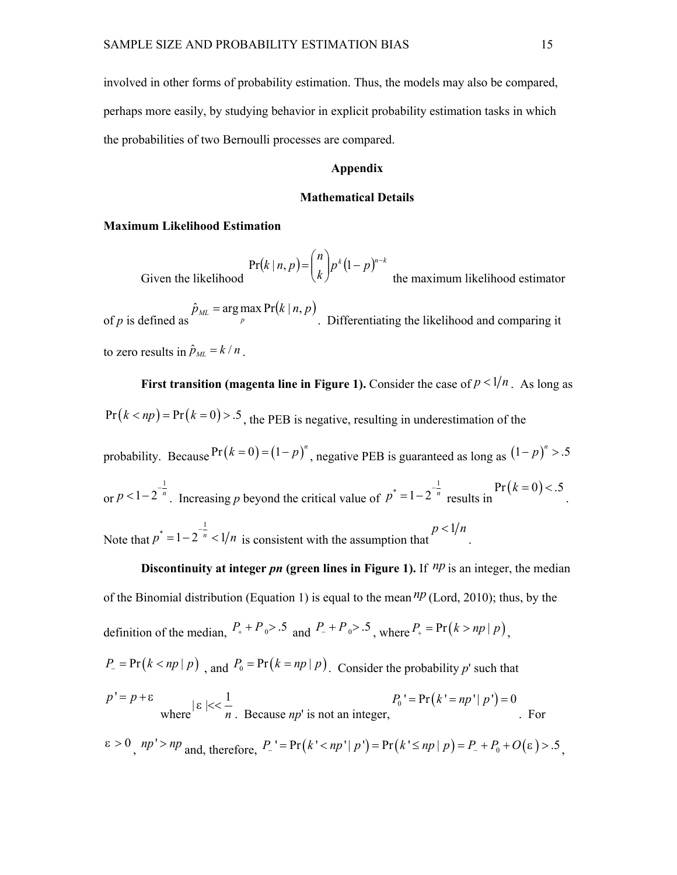involved in other forms of probability estimation. Thus, the models may also be compared, perhaps more easily, by studying behavior in explicit probability estimation tasks in which the probabilities of two Bernoulli processes are compared.

#### **Appendix**

#### **Mathematical Details**

#### **Maximum Likelihood Estimation**

Given the likelihood  $(k | n, p) = \binom{n}{k} p^k (1-p)^{n-k}$  $k \int_{-\infty}^{\infty}$  *k*  $\int_{-\infty}^{\infty}$  the maximum likelihood  $n\big|_{k\,(n)}$  $k | n, p$  =  $\binom{n}{k} p^k (1-p)^{n-k}$  the maximum likelihood estimator  $\left(1 \right)$   $k(1)$  $\left(k\right)^{p/(1-p)}$  the maximum lil  $Pr(k | n, p) = {n \choose k} p^{k} (1-p)^{n-k}$ the maximum likelihood estimator

of *p* is defined as  $\int_{p}^{p}$  $\hat{p}_{\scriptscriptstyle ML}$  = arg max Pr(k | n, p)  $\hat{p}_{ML}$  = arg max  $Pr(k | n, p)$  <br>Differentiating the . Differentiating the likelihood and comparing it to zero results in  $\hat{p}_{ML} = k / n$ .

**First transition (magenta line in Figure 1). Consider the case of**  $p < 1/n$ **. As long as**  $Pr(k < np) = Pr(k = 0) > .5$ , the PEB is negative, resulting in underestimation of the

probability. Because  $Pr(k=0) = (1-p)^n$ , negative PEB is guaranteed as long as  $(1-p)^n > .5$ 

or  $p < 1-2$   $\degree$ . Incr 1  $p < 1-2^{-\frac{1}{n}}$ . Increasing p beyond the critical value of  $p^* = 1-2^{-\frac{1}{n}}$  results in  $Pr(k=0) < .5$ . .

Note that  $p = 1-2$   $\degree$  <  $p^* = 1 - 2^{-\frac{1}{n}} < 1/n$  is consistent with the assumption that

**Discontinuity at integer** *pn* (green lines in Figure 1). If  $np$  is an integer, the median of the Binomial distribution (Equation 1) is equal to the mean  $np$  (Lord, 2010); thus, by the definition of the median,  $P_+ + P_0 > .5$  and  $P_- + P_0 > .5$ , where  $P_+ = Pr(k > np | p)$ ,

 $P = Pr(k < np | p)$  and  $P_0 = Pr(k = np | p)$ . Consider the probability *p*' such that

$$
p' = p + \varepsilon
$$
  
where  $|\varepsilon| < \frac{1}{n}$ . Because *np'* is not an integer,

 $\epsilon > 0$ ,  $np' > np$  and, therefore,  $P_{-}$ '=Pr( $k' < np' | p'$ ) = Pr( $k' \le np | p$ ) =  $P_{-} + P_{0} + O(\epsilon) > .5$ 

.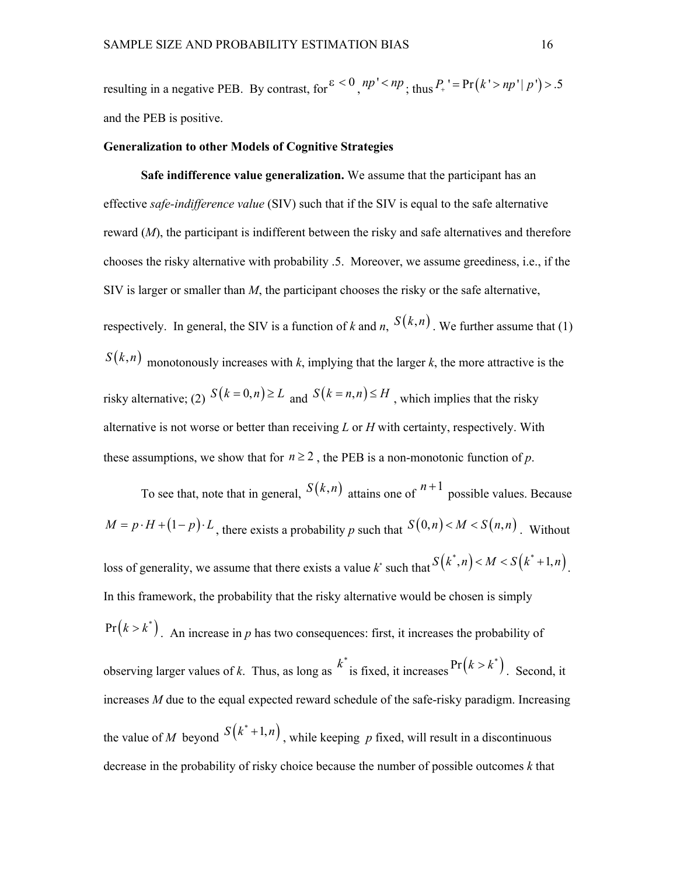resulting in a negative PEB. By contrast, for  $\epsilon < 0$ ,  $np' < np$ ; thus  $P_+$  ' = Pr( $k' > np' | p'$ ) > .5 and the PEB is positive.

#### **Generalization to other Models of Cognitive Strategies**

**Safe indifference value generalization.** We assume that the participant has an effective *safe-indifference value* (SIV) such that if the SIV is equal to the safe alternative reward (*M*), the participant is indifferent between the risky and safe alternatives and therefore chooses the risky alternative with probability .5. Moreover, we assume greediness, i.e., if the SIV is larger or smaller than *M*, the participant chooses the risky or the safe alternative, respectively. In general, the SIV is a function of *k* and *n*,  $S(k,n)$ . We further assume that (1)  $S(k,n)$  monotonously increases with *k*, implying that the larger *k*, the more attractive is the risky alternative; (2)  $S(k=0,n) \ge L$  and  $S(k=n,n) \le H$ , which implies that the risky alternative is not worse or better than receiving *L* or *H* with certainty, respectively. With these assumptions, we show that for  $n \ge 2$ , the PEB is a non-monotonic function of p.

To see that, note that in general,  $S(k,n)$  attains one of  $n+1$  possible values. Because  $M = p \cdot H + (1-p) \cdot L$ , there exists a probability *p* such that  $S(0,n) < M < S(n,n)$ . Without loss of generality, we assume that there exists a value  $k^*$  such that  $S(k^*, n) < M < S(k^*+1, n)$ . . In this framework, the probability that the risky alternative would be chosen is simply  $Pr(k > k^*)$ . An increase in *p* has two consequences: first, it increases the probability of observing larger values of k. Thus, as long as  $k^*$  is fixed, it increases  $Pr(k > k^*)$ . Second, it increases *M* due to the equal expected reward schedule of the safe-risky paradigm. Increasing the value of *M* beyond  $S(k^*+1,n)$ , while keeping p fixed, will result in a discontinuous decrease in the probability of risky choice because the number of possible outcomes *k* that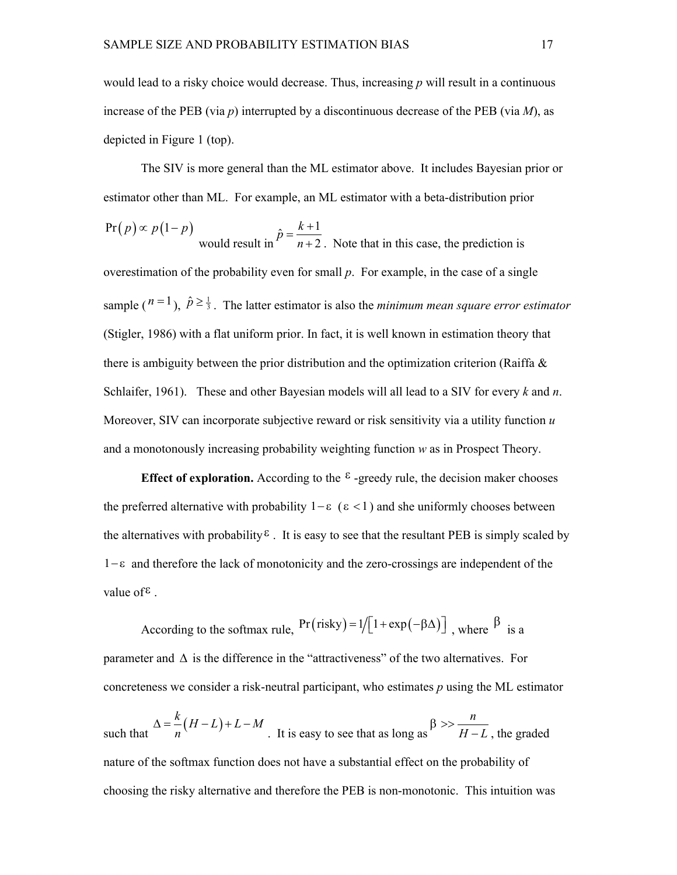would lead to a risky choice would decrease. Thus, increasing *p* will result in a continuous increase of the PEB (via *p*) interrupted by a discontinuous decrease of the PEB (via *M*), as depicted in Figure 1 (top).

The SIV is more general than the ML estimator above. It includes Bayesian prior or estimator other than ML. For example, an ML estimator with a beta-distribution prior

$$
Pr(p) \propto p(1-p)
$$
 would result in  $\hat{p} = \frac{k+1}{n+2}$ . Note that in this case, the prediction is

overestimation of the probability even for small *p*. For example, in the case of a single sample ( $n=1$ ),  $\hat{p} \ge \frac{1}{3}$ . The latter estimator is also the *minimum mean square error estimator* (Stigler, 1986) with a flat uniform prior. In fact, it is well known in estimation theory that there is ambiguity between the prior distribution and the optimization criterion (Raiffa  $\&$ Schlaifer, 1961). These and other Bayesian models will all lead to a SIV for every *k* and *n*. Moreover, SIV can incorporate subjective reward or risk sensitivity via a utility function *u* and a monotonously increasing probability weighting function *w* as in Prospect Theory.

**Effect of exploration.** According to the  $\epsilon$ -greedy rule, the decision maker chooses the preferred alternative with probability  $1-\varepsilon$  ( $\varepsilon$  < 1) and she uniformly chooses between the alternatives with probability<sup> $\epsilon$ </sup>. It is easy to see that the resultant PEB is simply scaled by  $1-\epsilon$  and therefore the lack of monotonicity and the zero-crossings are independent of the value of  $\epsilon$ .

According to the softmax rule,  $Pr(risky) = 1/[1 + exp(-\beta \Delta)]$ , where  $\beta$  is a parameter and  $\Delta$  is the difference in the "attractiveness" of the two alternatives. For concreteness we consider a risk-neutral participant, who estimates  $p$  using the ML estimator

such that  $\Delta = \frac{k}{n}(H-L)+L-M$ . It is easy to see that as long as  $\beta >> \frac{n}{H-L}$ , the graded  $\Delta = \frac{n}{2}(H-L)+L-M$   $\beta >> \frac{n}{2}$ . It is easy to see that as long as  $H-L$ , the gr *n*  $H - L$ , the graded  $\beta >> \frac{n}{\sqrt{1-\frac{1}{n}}}$  $-L$ , the graded nature of the softmax function does not have a substantial effect on the probability of choosing the risky alternative and therefore the PEB is non-monotonic. This intuition was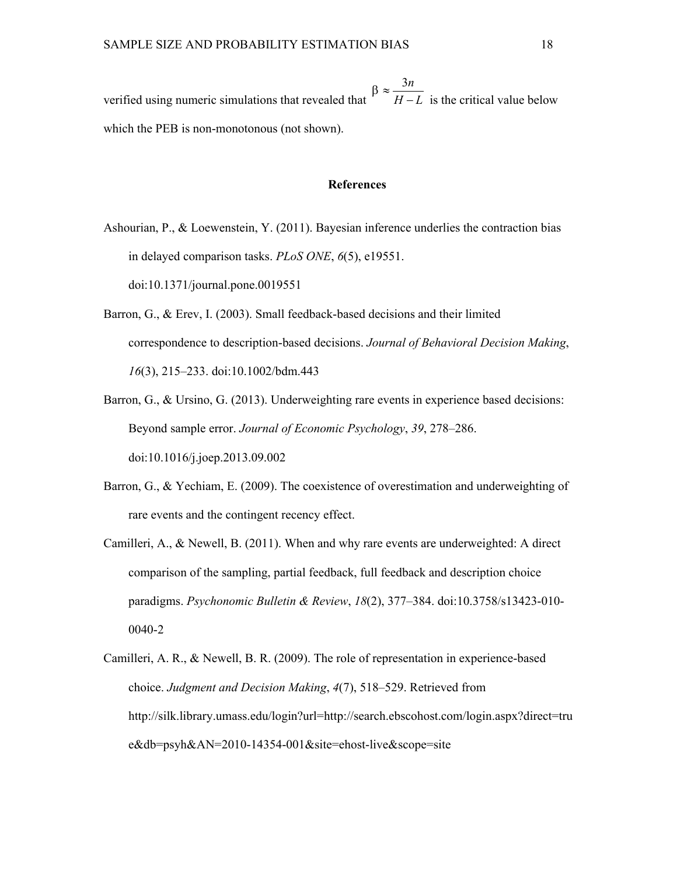verified using numeric simulations that revealed that  $H - L$  i 3*n*  $H - L$  is the critical value below  $\beta \approx \frac{3n}{\sqrt{2}}$  $-L$  is the critical value below which the PEB is non-monotonous (not shown).

#### **References**

- Ashourian, P., & Loewenstein, Y. (2011). Bayesian inference underlies the contraction bias in delayed comparison tasks. *PLoS ONE*, *6*(5), e19551. doi:10.1371/journal.pone.0019551
- Barron, G., & Erev, I. (2003). Small feedback-based decisions and their limited correspondence to description-based decisions. *Journal of Behavioral Decision Making*, *16*(3), 215–233. doi:10.1002/bdm.443
- Barron, G., & Ursino, G. (2013). Underweighting rare events in experience based decisions: Beyond sample error. *Journal of Economic Psychology*, *39*, 278–286. doi:10.1016/j.joep.2013.09.002
- Barron, G., & Yechiam, E. (2009). The coexistence of overestimation and underweighting of rare events and the contingent recency effect.
- Camilleri, A., & Newell, B. (2011). When and why rare events are underweighted: A direct comparison of the sampling, partial feedback, full feedback and description choice paradigms. *Psychonomic Bulletin & Review*, 18(2), 377-384. doi:10.3758/s13423-010-0040-2
- Camilleri, A. R., & Newell, B. R. (2009). The role of representation in experiencebased choice. *Judgment and Decision Making*, *4*(7), 518–529. Retrieved from http://silk.library.umass.edu/login?url=http://search.ebscohost.com/login.aspx?direct=tru  $e&db=psyh&AN=2010-14354-001&site=ehost-live&scope=site$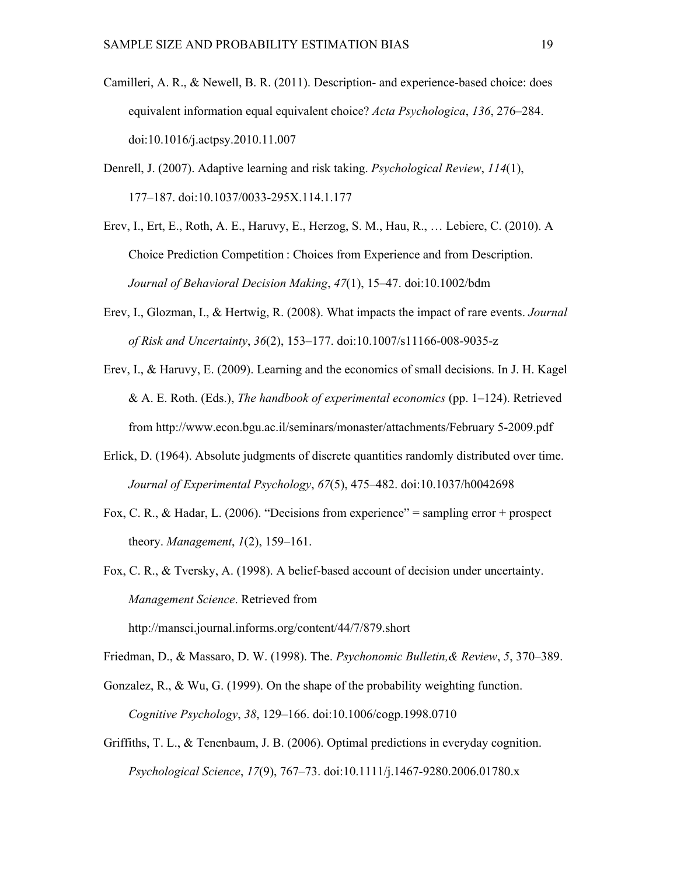- Camilleri, A. R., & Newell, B. R.  $(2011)$ . Description- and experience-based choice: does equivalent information equal equivalent choice? *Acta Psychologica*, *136*, 276–284. doi:10.1016/j.actpsy.2010.11.007
- Denrell, J. (2007). Adaptive learning and risk taking. *Psychological Review*, *114*(1), 177–187. doi:10.1037/0033295X.114.1.177
- Erev, I., Ert, E., Roth, A. E., Haruvy, E., Herzog, S. M., Hau, R., … Lebiere, C. (2010). A Choice Prediction Competition : Choices from Experience and from Description. *Journal of Behavioral Decision Making*, *47*(1), 15–47. doi:10.1002/bdm
- Erev, I., Glozman, I., & Hertwig, R. (2008). What impacts the impact of rare events. *Journal of Risk and Uncertainty, 36(2), 153-177. doi:10.1007/s11166-008-9035-z*
- Erev, I., & Haruvy, E. (2009). Learning and the economics of small decisions. In J. H. Kagel & A. E. Roth. (Eds.), *The handbook of experimental economics* (pp. 1–124). Retrieved from http://www.econ.bgu.ac.il/seminars/monaster/attachments/February 52009.pdf
- Erlick, D. (1964). Absolute judgments of discrete quantities randomly distributed over time. *Journal of Experimental Psychology*, *67*(5), 475–482. doi:10.1037/h0042698
- Fox, C. R., & Hadar, L. (2006). "Decisions from experience" = sampling error + prospect theory. *Management*, *1*(2), 159–161.
- Fox, C. R., & Tversky, A. (1998). A belief-based account of decision under uncertainty. *Management Science*. Retrieved from http://mansci.journal.informs.org/content/44/7/879.short
- Friedman, D., & Massaro, D. W. (1998). The. *Psychonomic Bulletin,& Review*, *5*, 370–389.
- Gonzalez, R., & Wu, G. (1999). On the shape of the probability weighting function. *Cognitive Psychology*, *38*, 129–166. doi:10.1006/cogp.1998.0710
- Griffiths, T. L., & Tenenbaum, J. B. (2006). Optimal predictions in everyday cognition. *Psychological Science*, *17*(9), 767–73. doi:10.1111/j.1467-9280.2006.01780.x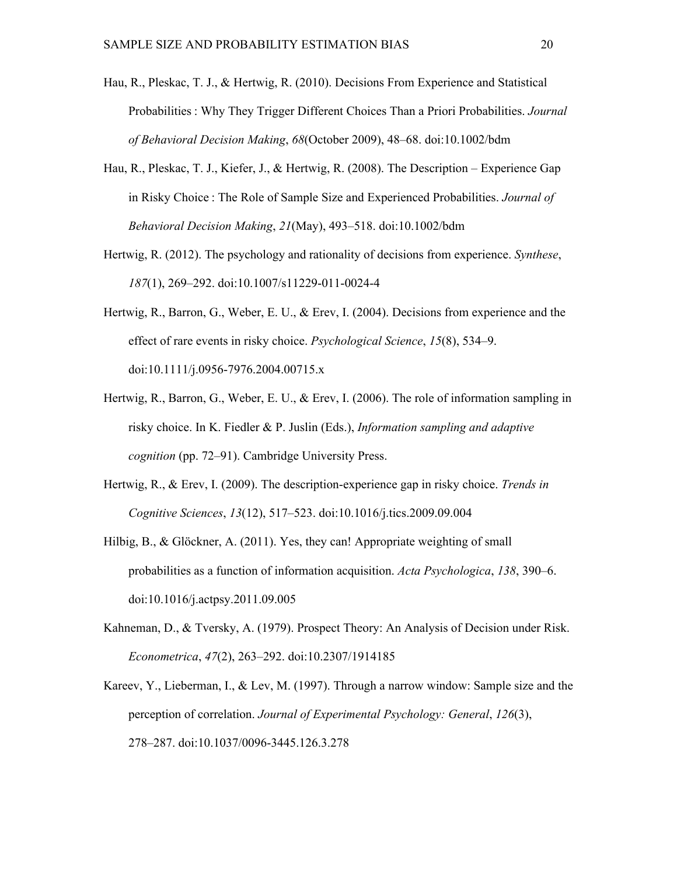- Hau, R., Pleskac, T. J., & Hertwig, R. (2010). Decisions From Experience and Statistical Probabilities : Why They Trigger Different Choices Than a Priori Probabilities. *Journal of Behavioral Decision Making*, *68*(October 2009), 48–68. doi:10.1002/bdm
- Hau, R., Pleskac, T. J., Kiefer, J., & Hertwig, R. (2008). The Description Experience Gap in Risky Choice : The Role of Sample Size and Experienced Probabilities. *Journal of Behavioral Decision Making*, *21*(May), 493–518. doi:10.1002/bdm
- Hertwig, R. (2012). The psychology and rationality of decisions from experience. *Synthese*, *187*(1), 269–292. doi:10.1007/s11229-011-0024-4
- Hertwig, R., Barron, G., Weber, E. U., & Erev, I. (2004). Decisions from experience and the effect of rare events in risky choice. *Psychological Science*, *15*(8), 534–9. doi:10.1111/j.0956-7976.2004.00715.x
- Hertwig, R., Barron, G., Weber, E. U., & Erev, I. (2006). The role of information sampling in risky choice. In K. Fiedler & P. Juslin (Eds.), *Information sampling and adaptive cognition* (pp. 72–91). Cambridge University Press.
- Hertwig, R., & Erev, I. (2009). The descriptionexperience gap in risky choice. *Trends in Cognitive Sciences*, *13*(12), 517–523. doi:10.1016/j.tics.2009.09.004
- Hilbig, B., & Glöckner, A. (2011). Yes, they can! Appropriate weighting of small probabilities as a function of information acquisition. *Acta Psychologica*, *138*, 390–6. doi:10.1016/j.actpsy.2011.09.005
- Kahneman, D., & Tversky, A. (1979). Prospect Theory: An Analysis of Decision under Risk. *Econometrica*, *47*(2), 263–292. doi:10.2307/1914185
- Kareev, Y., Lieberman, I., & Lev, M. (1997). Through a narrow window: Sample size and the perception of correlation. *Journal of Experimental Psychology: General*, *126*(3), 278–287. doi:10.1037/0096-3445.126.3.278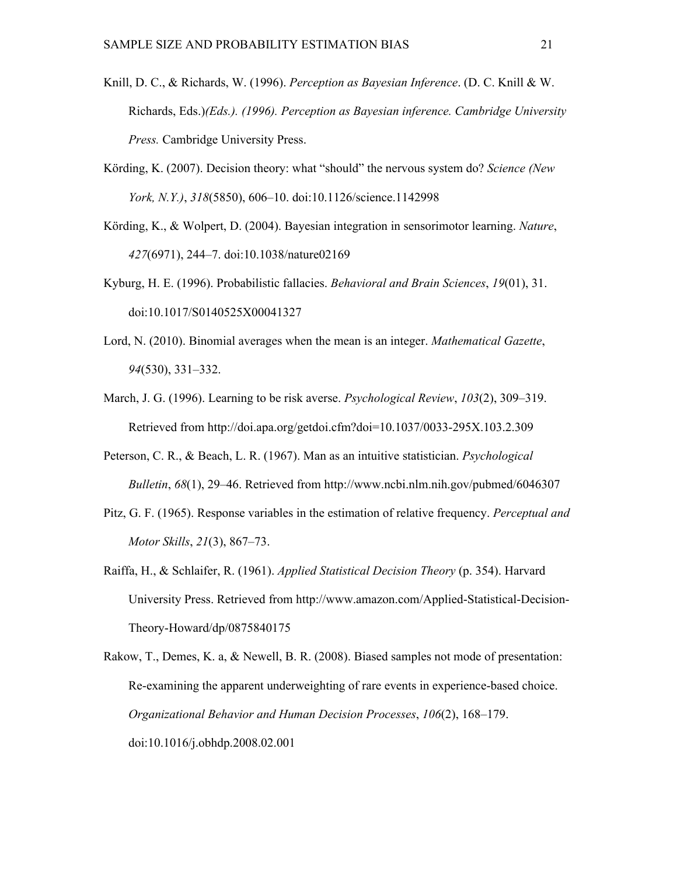- Knill, D. C., & Richards, W. (1996). *Perception as Bayesian Inference*. (D. C. Knill & W. Richards, Eds.)*(Eds.). (1996). Perception as Bayesian inference. Cambridge University Press.* Cambridge University Press.
- Körding, K. (2007). Decision theory: what "should" the nervous system do? *Science (New York, N.Y.)*, *318*(5850), 606–10. doi:10.1126/science.1142998
- Körding, K., & Wolpert, D. (2004). Bayesian integration in sensorimotor learning. *Nature*, *427*(6971), 244–7. doi:10.1038/nature02169
- Kyburg, H. E. (1996). Probabilistic fallacies. *Behavioral and Brain Sciences*, *19*(01), 31. doi:10.1017/S0140525X00041327
- Lord, N. (2010). Binomial averages when the mean is an integer. *Mathematical Gazette*, *94*(530), 331–332.
- March, J. G. (1996). Learning to be risk averse. *Psychological Review*, *103*(2), 309–319. Retrieved from http://doi.apa.org/getdoi.cfm?doi=10.1037/0033-295X.103.2.309
- Peterson, C. R., & Beach, L. R. (1967). Man as an intuitive statistician. *Psychological Bulletin*, *68*(1), 29–46. Retrieved from http://www.ncbi.nlm.nih.gov/pubmed/6046307
- Pitz, G. F. (1965). Response variables in the estimation of relative frequency. *Perceptual and Motor Skills*, *21*(3), 867–73.
- Raiffa, H., & Schlaifer, R. (1961). *Applied Statistical Decision Theory* (p. 354). Harvard University Press. Retrieved from http://www.amazon.com/Applied-Statistical-Decision-Theory-Howard/dp/0875840175
- Rakow, T., Demes, K. a, & Newell, B. R. (2008). Biased samples not mode of presentation: Re-examining the apparent underweighting of rare events in experience-based choice. *Organizational Behavior and Human Decision Processes*, *106*(2), 168–179. doi:10.1016/j.obhdp.2008.02.001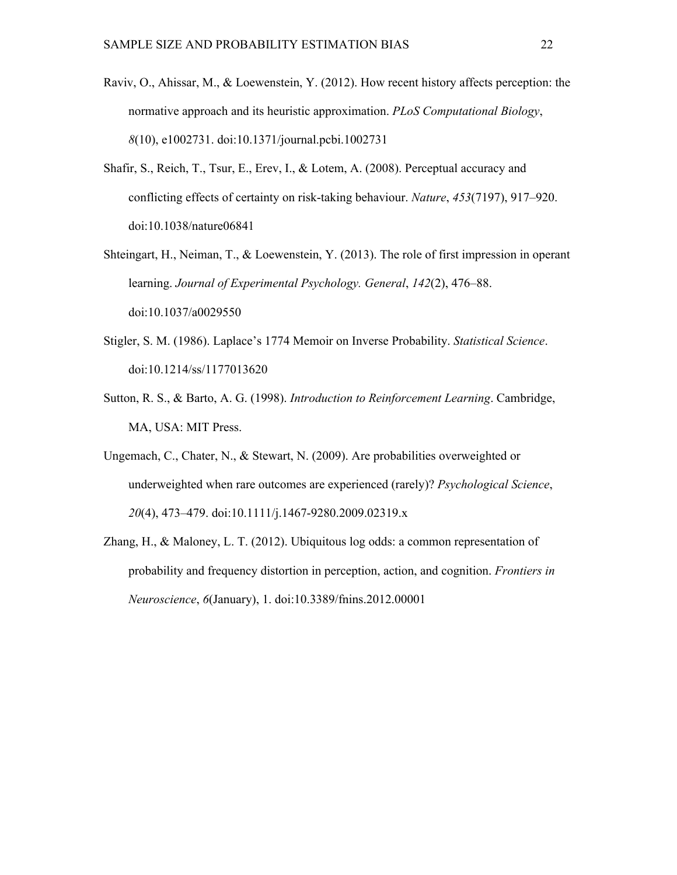- Raviv, O., Ahissar, M., & Loewenstein, Y. (2012). How recent history affects perception: the normative approach and its heuristic approximation. *PLoS Computational Biology*, *8*(10), e1002731. doi:10.1371/journal.pcbi.1002731
- Shafir, S., Reich, T., Tsur, E., Erev, I., & Lotem, A. (2008). Perceptual accuracy and conflicting effects of certainty on risk-taking behaviour. *Nature*, 453(7197), 917–920. doi:10.1038/nature06841
- Shteingart, H., Neiman, T., & Loewenstein, Y. (2013). The role of first impression in operant learning. *Journal of Experimental Psychology. General*, *142*(2), 476–88. doi:10.1037/a0029550
- Stigler, S. M. (1986). Laplace's 1774 Memoir on Inverse Probability. *Statistical Science*. doi:10.1214/ss/1177013620
- Sutton, R. S., & Barto, A. G. (1998). *Introduction to Reinforcement Learning*. Cambridge, MA, USA: MIT Press.
- Ungemach, C., Chater, N., & Stewart, N. (2009). Are probabilities overweighted or underweighted when rare outcomes are experienced (rarely)? *Psychological Science*, *20*(4), 473–479. doi:10.1111/j.1467-9280.2009.02319.x
- Zhang, H., & Maloney, L. T. (2012). Ubiquitous log odds: a common representation of probability and frequency distortion in perception, action, and cognition. *Frontiers in Neuroscience*, *6*(January), 1. doi:10.3389/fnins.2012.00001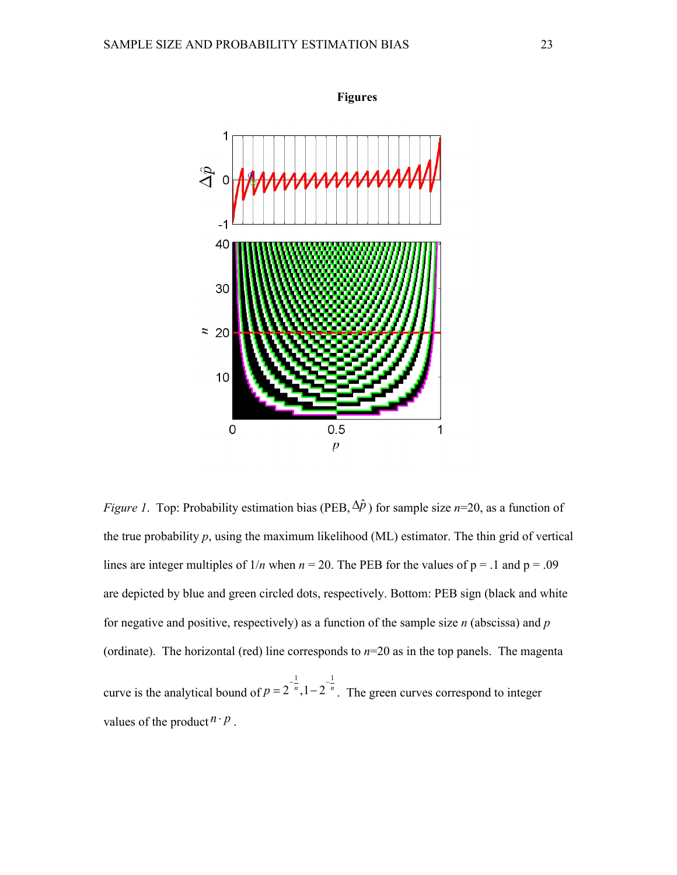

*Figure 1*. Top: Probability estimation bias (PEB,  $\Delta \hat{p}$ ) for sample size *n*=20, as a function of the true probability  $p$ , using the maximum likelihood (ML) estimator. The thin grid of vertical lines are integer multiples of  $1/n$  when  $n = 20$ . The PEB for the values of  $p = 0.1$  and  $p = 0.09$ are depicted by blue and green circled dots, respectively. Bottom: PEB sign (black and white for negative and positive, respectively) as a function of the sample size *n* (abscissa) and *p* (ordinate). The horizontal (red) line corresponds to *n*=20 as in the top panels. The magenta curve is the analytical bound of  $p = 2^{-n}$ ,  $1 - 2^{-n}$ .  $1 \qquad \qquad 1 \qquad \qquad 1$  $p = 2^{-\frac{1}{n}}$ ,  $1 - 2^{-\frac{1}{n}}$ . The green curves correspond to integer values of the product  $n \cdot p$ .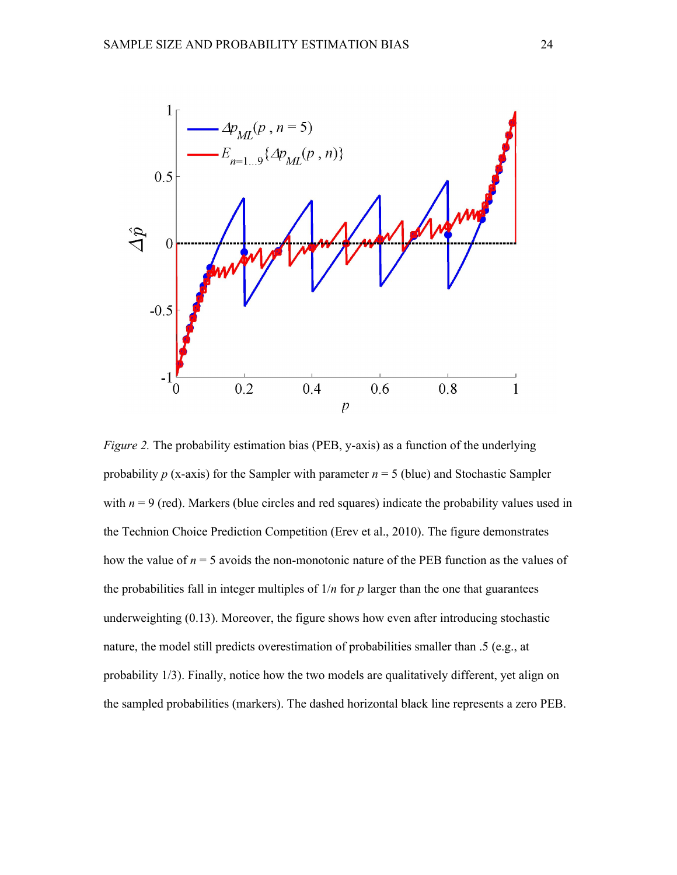

*Figure 2.* The probability estimation bias (PEB, y-axis) as a function of the underlying probability  $p$  (x-axis) for the Sampler with parameter  $n = 5$  (blue) and Stochastic Sampler with  $n = 9$  (red). Markers (blue circles and red squares) indicate the probability values used in the Technion Choice Prediction Competition (Erev et al., 2010). The figure demonstrates how the value of  $n = 5$  avoids the non-monotonic nature of the PEB function as the values of the probabilities fall in integer multiples of  $1/n$  for  $p$  larger than the one that guarantees underweighting (0.13). Moreover, the figure shows how even after introducing stochastic nature, the model still predicts overestimation of probabilities smaller than .5 (e.g., at probability 1/3). Finally, notice how the two models are qualitatively different, yet align on the sampled probabilities (markers). The dashed horizontal black line represents a zero PEB.